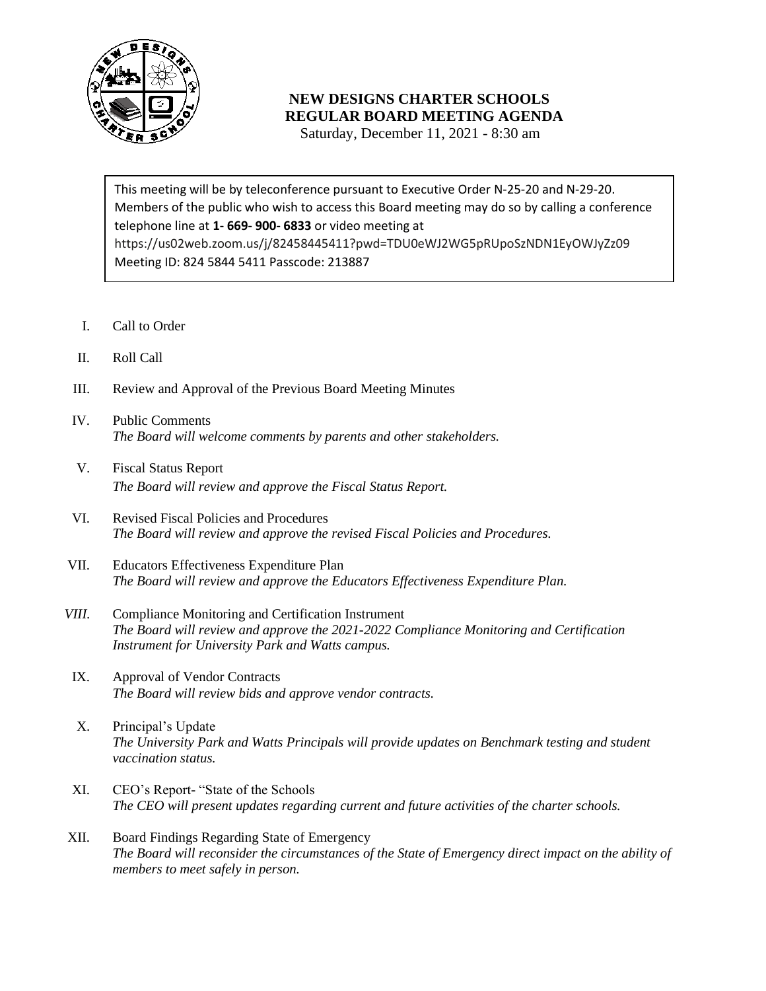

## **NEW DESIGNS CHARTER SCHOOLS REGULAR BOARD MEETING AGENDA**

Saturday, December 11, 2021 - 8:30 am

 Members of the public who wish to access this Board meeting may do so by calling a conference telephone line at **1- 669- 900- 6833** or video meeting at This meeting will be by teleconference pursuant to Executive Order N-25-20 and N-29-20. https://us02web.zoom.us/j/82458445411?pwd=TDU0eWJ2WG5pRUpoSzNDN1EyOWJyZz09 Meeting ID: 824 5844 5411 Passcode: 213887

- I. Call to Order
- II. Roll Call
- III. Review and Approval of the Previous Board Meeting Minutes
- IV. Public Comments *The Board will welcome comments by parents and other stakeholders.*
- V. Fiscal Status Report *The Board will review and approve the Fiscal Status Report.*
- VI. Revised Fiscal Policies and Procedures *The Board will review and approve the revised Fiscal Policies and Procedures.*
- VII. Educators Effectiveness Expenditure Plan *The Board will review and approve the Educators Effectiveness Expenditure Plan.*
- *VIII.* Compliance Monitoring and Certification Instrument *The Board will review and approve the 2021-2022 Compliance Monitoring and Certification Instrument for University Park and Watts campus.*
- IX. Approval of Vendor Contracts *The Board will review bids and approve vendor contracts.*
- X. Principal's Update *The University Park and Watts Principals will provide updates on Benchmark testing and student vaccination status.*
- XI. CEO's Report- "State of the Schools *The CEO will present updates regarding current and future activities of the charter schools.*
- XII. Board Findings Regarding State of Emergency *The Board will reconsider the circumstances of the State of Emergency direct impact on the ability of members to meet safely in person.*